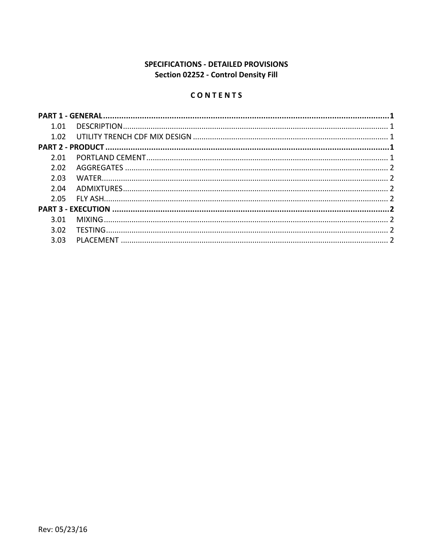# SPECIFICATIONS - DETAILED PROVISIONS Section 02252 - Control Density Fill

# CONTENTS

| 1.01 |  |  |
|------|--|--|
|      |  |  |
|      |  |  |
| 2 Q1 |  |  |
| 2.02 |  |  |
| 2.03 |  |  |
| 2.04 |  |  |
| 2.05 |  |  |
|      |  |  |
| 3.01 |  |  |
| 3.02 |  |  |
| 3.03 |  |  |
|      |  |  |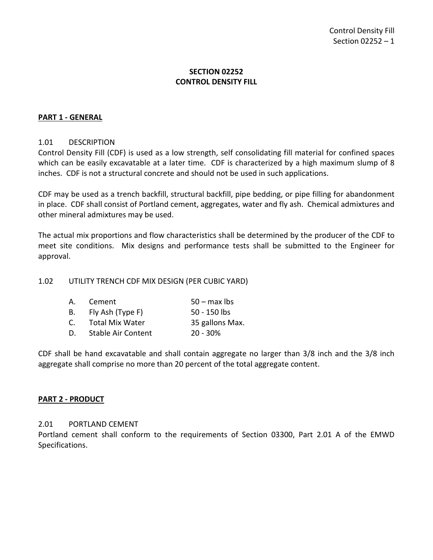## **SECTION 02252 CONTROL DENSITY FILL**

## <span id="page-2-0"></span>**PART 1 - GENERAL**

## <span id="page-2-1"></span>1.01 DESCRIPTION

Control Density Fill (CDF) is used as a low strength, self consolidating fill material for confined spaces which can be easily excavatable at a later time. CDF is characterized by a high maximum slump of 8 inches. CDF is not a structural concrete and should not be used in such applications.

CDF may be used as a trench backfill, structural backfill, pipe bedding, or pipe filling for abandonment in place. CDF shall consist of Portland cement, aggregates, water and fly ash. Chemical admixtures and other mineral admixtures may be used.

The actual mix proportions and flow characteristics shall be determined by the producer of the CDF to meet site conditions. Mix designs and performance tests shall be submitted to the Engineer for approval.

#### <span id="page-2-2"></span>1.02 UTILITY TRENCH CDF MIX DESIGN (PER CUBIC YARD)

| A. | Cement                 | $50 - \text{max}$ lbs |
|----|------------------------|-----------------------|
| B. | Fly Ash (Type F)       | $50 - 150$ lbs        |
| C. | <b>Total Mix Water</b> | 35 gallons Max.       |
| D. | Stable Air Content     | $20 - 30%$            |

CDF shall be hand excavatable and shall contain aggregate no larger than 3/8 inch and the 3/8 inch aggregate shall comprise no more than 20 percent of the total aggregate content.

## <span id="page-2-3"></span>**PART 2 - PRODUCT**

#### <span id="page-2-4"></span>2.01 PORTLAND CEMENT

Portland cement shall conform to the requirements of Section 03300, Part 2.01 A of the EMWD Specifications.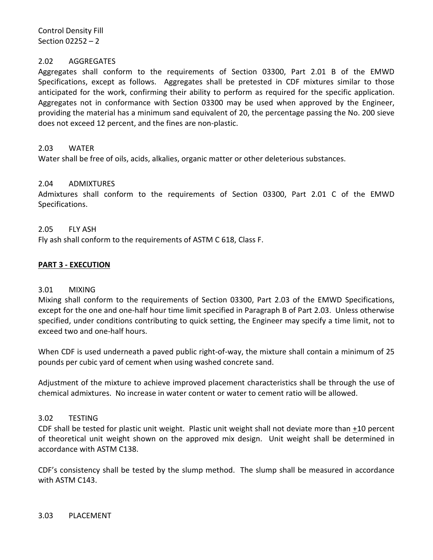Control Density Fill Section 02252 – 2

### <span id="page-3-0"></span>2.02 AGGREGATES

Aggregates shall conform to the requirements of Section 03300, Part 2.01 B of the EMWD Specifications, except as follows. Aggregates shall be pretested in CDF mixtures similar to those anticipated for the work, confirming their ability to perform as required for the specific application. Aggregates not in conformance with Section 03300 may be used when approved by the Engineer, providing the material has a minimum sand equivalent of 20, the percentage passing the No. 200 sieve does not exceed 12 percent, and the fines are non-plastic.

### <span id="page-3-1"></span>2.03 WATER

Water shall be free of oils, acids, alkalies, organic matter or other deleterious substances.

## <span id="page-3-2"></span>2.04 ADMIXTURES

Admixtures shall conform to the requirements of Section 03300, Part 2.01 C of the EMWD Specifications.

### <span id="page-3-3"></span>2.05 FLY ASH

Fly ash shall conform to the requirements of ASTM C 618, Class F.

### <span id="page-3-4"></span>**PART 3 - EXECUTION**

#### <span id="page-3-5"></span>3.01 MIXING

Mixing shall conform to the requirements of Section 03300, Part 2.03 of the EMWD Specifications, except for the one and one-half hour time limit specified in Paragraph B of Part 2.03. Unless otherwise specified, under conditions contributing to quick setting, the Engineer may specify a time limit, not to exceed two and one-half hours.

When CDF is used underneath a paved public right-of-way, the mixture shall contain a minimum of 25 pounds per cubic yard of cement when using washed concrete sand.

Adjustment of the mixture to achieve improved placement characteristics shall be through the use of chemical admixtures. No increase in water content or water to cement ratio will be allowed.

## <span id="page-3-6"></span>3.02 TESTING

CDF shall be tested for plastic unit weight. Plastic unit weight shall not deviate more than +10 percent of theoretical unit weight shown on the approved mix design. Unit weight shall be determined in accordance with ASTM C138.

<span id="page-3-7"></span>CDF's consistency shall be tested by the slump method. The slump shall be measured in accordance with ASTM C143.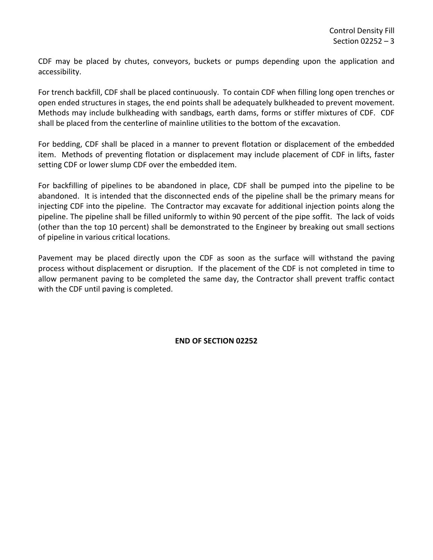CDF may be placed by chutes, conveyors, buckets or pumps depending upon the application and accessibility.

For trench backfill, CDF shall be placed continuously. To contain CDF when filling long open trenches or open ended structures in stages, the end points shall be adequately bulkheaded to prevent movement. Methods may include bulkheading with sandbags, earth dams, forms or stiffer mixtures of CDF. CDF shall be placed from the centerline of mainline utilities to the bottom of the excavation.

For bedding, CDF shall be placed in a manner to prevent flotation or displacement of the embedded item. Methods of preventing flotation or displacement may include placement of CDF in lifts, faster setting CDF or lower slump CDF over the embedded item.

For backfilling of pipelines to be abandoned in place, CDF shall be pumped into the pipeline to be abandoned. It is intended that the disconnected ends of the pipeline shall be the primary means for injecting CDF into the pipeline. The Contractor may excavate for additional injection points along the pipeline. The pipeline shall be filled uniformly to within 90 percent of the pipe soffit. The lack of voids (other than the top 10 percent) shall be demonstrated to the Engineer by breaking out small sections of pipeline in various critical locations.

Pavement may be placed directly upon the CDF as soon as the surface will withstand the paving process without displacement or disruption. If the placement of the CDF is not completed in time to allow permanent paving to be completed the same day, the Contractor shall prevent traffic contact with the CDF until paving is completed.

**END OF SECTION 02252**